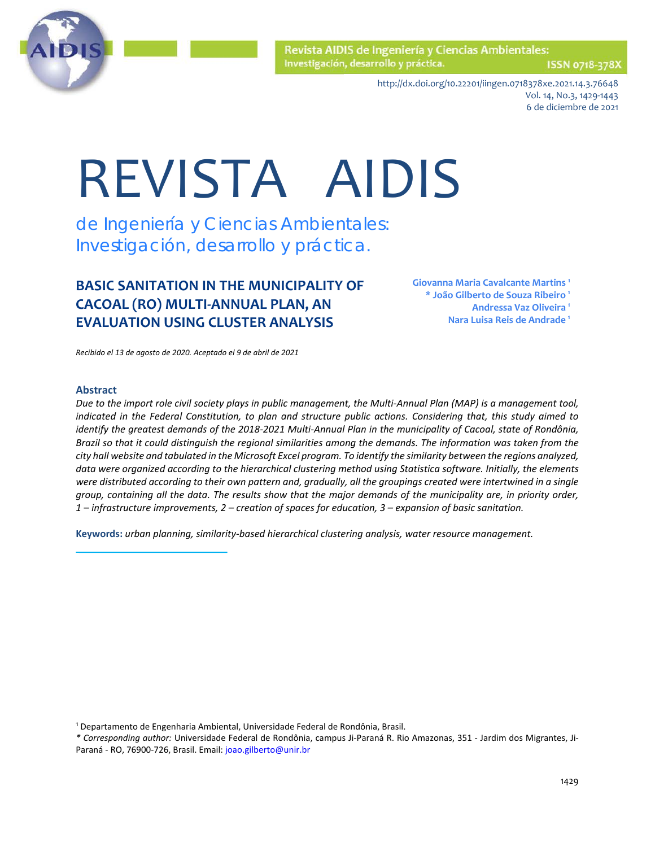

ISSN 0718-378X

http://dx.doi.org/10.22201/iingen.0718378xe.2021.14.3.76648 Vol. 14, No.3, 1429-1443 6 de diciembre de 2021

# REVISTA AIDIS

de Ingeniería y Ciencias Ambientales: Investigación, desarrollo y práctica.

## **BASIC SANITATION IN THE MUNICIPALITY OF CACOAL (RO) MULTI-ANNUAL PLAN, AN EVALUATION USING CLUSTER ANALYSIS**

**Giovanna Maria Cavalcante Martins <sup>1</sup> \* João Gilberto de Souza Ribeiro <sup>1</sup> Andressa Vaz Oliveira 1 Nara Luisa Reis de Andrade 1**

*Recibido el 13 de agosto de 2020. Aceptado el 9 de abril de 2021*

#### **Abstract**

*Due to the import role civil society plays in public management, the Multi-Annual Plan (MAP) is a management tool, indicated in the Federal Constitution, to plan and structure public actions. Considering that, this study aimed to identify the greatest demands of the 2018-2021 Multi-Annual Plan in the municipality of Cacoal, state of Rondônia, Brazil so that it could distinguish the regional similarities among the demands. The information was taken from the city hall website and tabulated in the Microsoft Excel program. To identify the similarity between the regions analyzed, data were organized according to the hierarchical clustering method using Statistica software. Initially, the elements were distributed according to their own pattern and, gradually, all the groupings created were intertwined in a single group, containing all the data. The results show that the major demands of the municipality are, in priority order, 1 – infrastructure improvements, 2 – creation of spaces for education, 3 – expansion of basic sanitation.*

**Keywords:** *urban planning, similarity-based hierarchical clustering analysis, water resource management.*

<sup>1</sup> Departamento de Engenharia Ambiental, Universidade Federal de Rondônia, Brasil.

*\* Corresponding author:* Universidade Federal de Rondônia, campus Ji-Paraná R. Rio Amazonas, 351 - Jardim dos Migrantes, Ji-Paraná - RO, 76900-726, Brasil. Email[: joao.gilberto@unir.br](mailto:joao.gilberto@unir.br)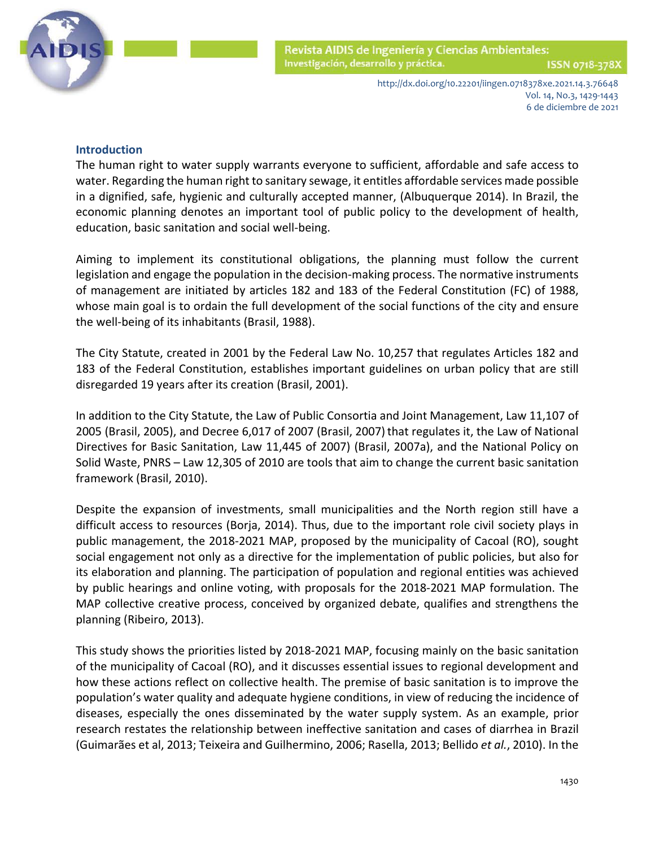

# **Introduction**

The human right to water supply warrants everyone to sufficient, affordable and safe access to water. Regarding the human right to sanitary sewage, it entitles affordable services made possible in a dignified, safe, hygienic and culturally accepted manner, (Albuquerque 2014). In Brazil, the economic planning denotes an important tool of public policy to the development of health, education, basic sanitation and social well-being.

Aiming to implement its constitutional obligations, the planning must follow the current legislation and engage the population in the decision-making process. The normative instruments of management are initiated by articles 182 and 183 of the Federal Constitution (FC) of 1988, whose main goal is to ordain the full development of the social functions of the city and ensure the well-being of its inhabitants (Brasil, 1988).

The City Statute, created in 2001 by the Federal Law No. 10,257 that regulates Articles 182 and 183 of the Federal Constitution, establishes important guidelines on urban policy that are still disregarded 19 years after its creation (Brasil, 2001).

In addition to the City Statute, the Law of Public Consortia and Joint Management, Law 11,107 of 2005 (Brasil, 2005), and Decree 6,017 of 2007 (Brasil, 2007)that regulates it, the Law of National Directives for Basic Sanitation, Law 11,445 of 2007) (Brasil, 2007a), and the National Policy on Solid Waste, PNRS – Law 12,305 of 2010 are tools that aim to change the current basic sanitation framework (Brasil, 2010).

Despite the expansion of investments, small municipalities and the North region still have a difficult access to resources (Borja, 2014). Thus, due to the important role civil society plays in public management, the 2018-2021 MAP, proposed by the municipality of Cacoal (RO), sought social engagement not only as a directive for the implementation of public policies, but also for its elaboration and planning. The participation of population and regional entities was achieved by public hearings and online voting, with proposals for the 2018-2021 MAP formulation. The MAP collective creative process, conceived by organized debate, qualifies and strengthens the planning (Ribeiro, 2013).

This study shows the priorities listed by 2018-2021 MAP, focusing mainly on the basic sanitation of the municipality of Cacoal (RO), and it discusses essential issues to regional development and how these actions reflect on collective health. The premise of basic sanitation is to improve the population's water quality and adequate hygiene conditions, in view of reducing the incidence of diseases, especially the ones disseminated by the water supply system. As an example, prior research restates the relationship between ineffective sanitation and cases of diarrhea in Brazil (Guimarães et al, 2013; Teixeira and Guilhermino, 2006; Rasella, 2013; Bellido *et al.*, 2010). In the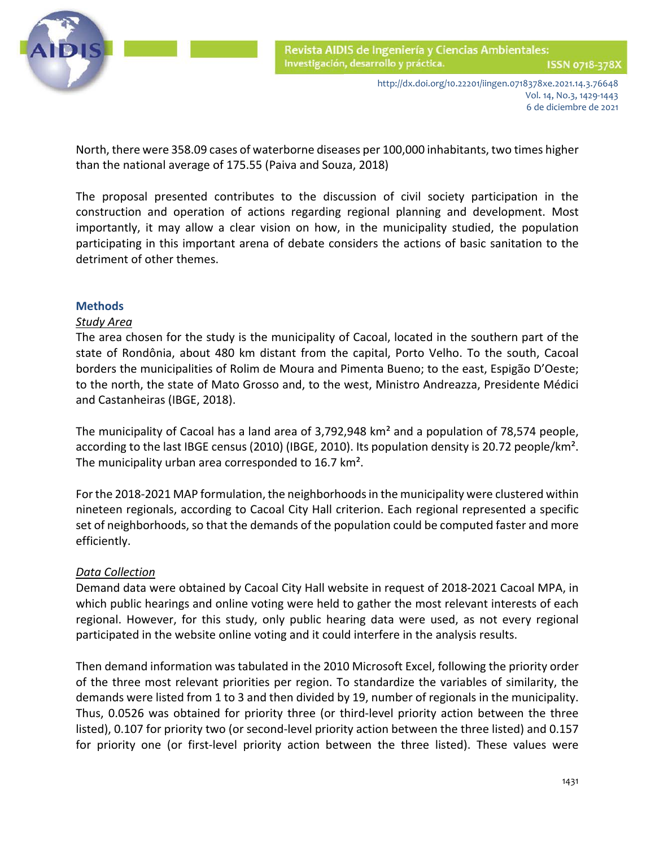

 North, there were 358.09 cases of waterborne diseases per 100,000 inhabitants, two times higher than the national average of 175.55 (Paiva and Souza, 2018)

The proposal presented contributes to the discussion of civil society participation in the construction and operation of actions regarding regional planning and development. Most importantly, it may allow a clear vision on how, in the municipality studied, the population participating in this important arena of debate considers the actions of basic sanitation to the detriment of other themes.

### **Methods**

#### *Study Area*

The area chosen for the study is the municipality of Cacoal, located in the southern part of the state of Rondônia, about 480 km distant from the capital, Porto Velho. To the south, Cacoal borders the municipalities of Rolim de Moura and Pimenta Bueno; to the east, Espigão D'Oeste; to the north, the state of Mato Grosso and, to the west, Ministro Andreazza, Presidente Médici and Castanheiras (IBGE, 2018).

The municipality of Cacoal has a land area of 3,792,948 km² and a population of 78,574 people, according to the last IBGE census (2010) (IBGE, 2010). Its population density is 20.72 people/km². The municipality urban area corresponded to 16.7 km².

For the 2018-2021 MAP formulation, the neighborhoodsin the municipality were clustered within nineteen regionals, according to Cacoal City Hall criterion. Each regional represented a specific set of neighborhoods, so that the demands of the population could be computed faster and more efficiently.

### *Data Collection*

Demand data were obtained by Cacoal City Hall website in request of 2018-2021 Cacoal MPA, in which public hearings and online voting were held to gather the most relevant interests of each regional. However, for this study, only public hearing data were used, as not every regional participated in the website online voting and it could interfere in the analysis results.

Then demand information was tabulated in the 2010 Microsoft Excel, following the priority order of the three most relevant priorities per region. To standardize the variables of similarity, the demands were listed from 1 to 3 and then divided by 19, number of regionals in the municipality. Thus, 0.0526 was obtained for priority three (or third-level priority action between the three listed), 0.107 for priority two (or second-level priority action between the three listed) and 0.157 for priority one (or first-level priority action between the three listed). These values were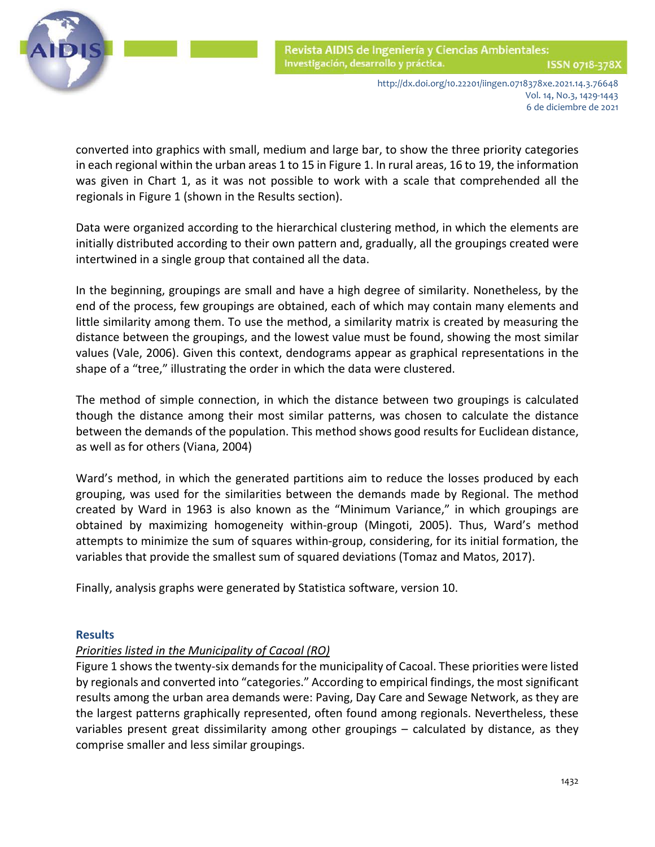

 converted into graphics with small, medium and large bar, to show the three priority categories in each regional within the urban areas 1 to 15 in Figure 1. In rural areas, 16 to 19, the information was given in Chart 1, as it was not possible to work with a scale that comprehended all the regionals in Figure 1 (shown in the Results section).

Data were organized according to the hierarchical clustering method, in which the elements are initially distributed according to their own pattern and, gradually, all the groupings created were intertwined in a single group that contained all the data.

In the beginning, groupings are small and have a high degree of similarity. Nonetheless, by the end of the process, few groupings are obtained, each of which may contain many elements and little similarity among them. To use the method, a similarity matrix is created by measuring the distance between the groupings, and the lowest value must be found, showing the most similar values (Vale, 2006). Given this context, dendograms appear as graphical representations in the shape of a "tree," illustrating the order in which the data were clustered.

The method of simple connection, in which the distance between two groupings is calculated though the distance among their most similar patterns, was chosen to calculate the distance between the demands of the population. This method shows good results for Euclidean distance, as well as for others (Viana, 2004)

Ward's method, in which the generated partitions aim to reduce the losses produced by each grouping, was used for the similarities between the demands made by Regional. The method created by Ward in 1963 is also known as the "Minimum Variance," in which groupings are obtained by maximizing homogeneity within-group (Mingoti, 2005). Thus, Ward's method attempts to minimize the sum of squares within-group, considering, for its initial formation, the variables that provide the smallest sum of squared deviations (Tomaz and Matos, 2017).

Finally, analysis graphs were generated by Statistica software, version 10.

### **Results**

## *Priorities listed in the Municipality of Cacoal (RO)*

Figure 1 shows the twenty-six demands for the municipality of Cacoal. These priorities were listed by regionals and converted into "categories." According to empirical findings, the most significant results among the urban area demands were: Paving, Day Care and Sewage Network, as they are the largest patterns graphically represented, often found among regionals. Nevertheless, these variables present great dissimilarity among other groupings – calculated by distance, as they comprise smaller and less similar groupings.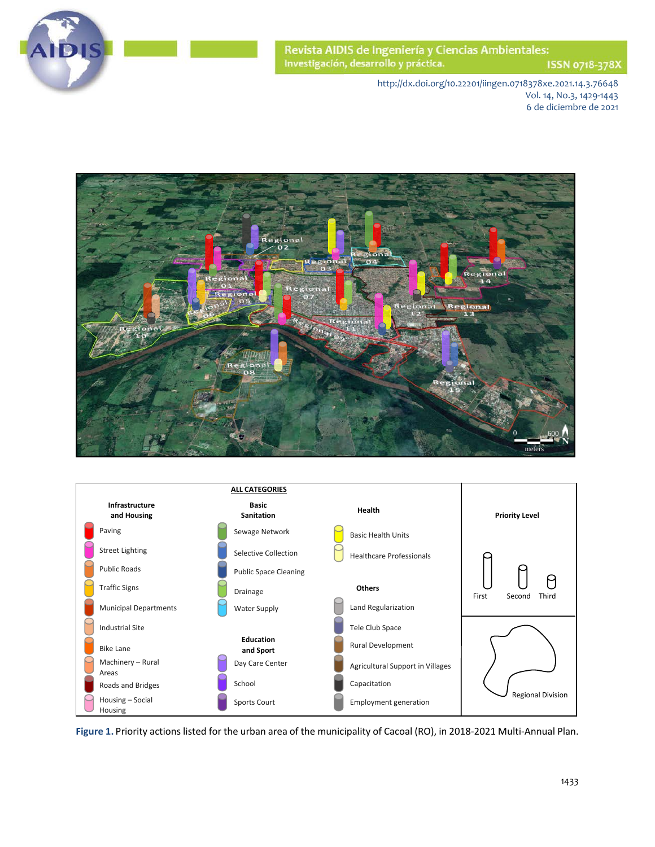

ISSN 0718-378X

http://dx.doi.org/10.22201/iingen.0718378xe.2021.14.3.76648 Vol. 14, No.3, 1429-1443 6 de diciembre de 2021





**Figure 1.** Priority actions listed for the urban area of the municipality of Cacoal (RO), in 2018-2021 Multi-Annual Plan.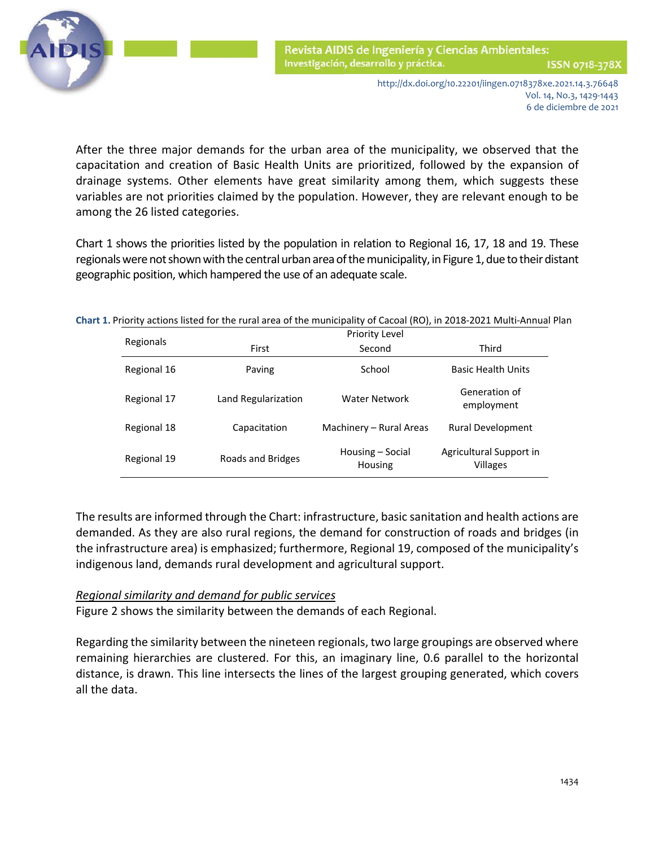

 After the three major demands for the urban area of the municipality, we observed that the capacitation and creation of Basic Health Units are prioritized, followed by the expansion of drainage systems. Other elements have great similarity among them, which suggests these variables are not priorities claimed by the population. However, they are relevant enough to be among the 26 listed categories.

Chart 1 shows the priorities listed by the population in relation to Regional 16, 17, 18 and 19. These regionals were not shown with the central urban area of the municipality, in Figure 1, due to their distant geographic position, which hampered the use of an adequate scale.

| art 1. Friority actions iisted for the rural area or the municipality or cacoal (NO), in 2010-2021 Multi-Annuar Fia |             |                     |                                    |                                            |
|---------------------------------------------------------------------------------------------------------------------|-------------|---------------------|------------------------------------|--------------------------------------------|
|                                                                                                                     | Regionals   | Priority Level      |                                    |                                            |
|                                                                                                                     |             | First               | Second                             | Third                                      |
|                                                                                                                     | Regional 16 | Paving              | School                             | <b>Basic Health Units</b>                  |
|                                                                                                                     | Regional 17 | Land Regularization | <b>Water Network</b>               | Generation of<br>employment                |
|                                                                                                                     | Regional 18 | Capacitation        | Machinery - Rural Areas            | <b>Rural Development</b>                   |
|                                                                                                                     | Regional 19 | Roads and Bridges   | Housing – Social<br><b>Housing</b> | Agricultural Support in<br><b>Villages</b> |

**Chart 1.** Priority actions listed for the rural area of the municipality of Cacoal (RO), in 2018-2021 Multi-Annual Plan

The results are informed through the Chart: infrastructure, basic sanitation and health actions are demanded. As they are also rural regions, the demand for construction of roads and bridges (in the infrastructure area) is emphasized; furthermore, Regional 19, composed of the municipality's indigenous land, demands rural development and agricultural support.

## *Regional similarity and demand for public services*

Figure 2 shows the similarity between the demands of each Regional.

Regarding the similarity between the nineteen regionals, two large groupings are observed where remaining hierarchies are clustered. For this, an imaginary line, 0.6 parallel to the horizontal distance, is drawn. This line intersects the lines of the largest grouping generated, which covers all the data.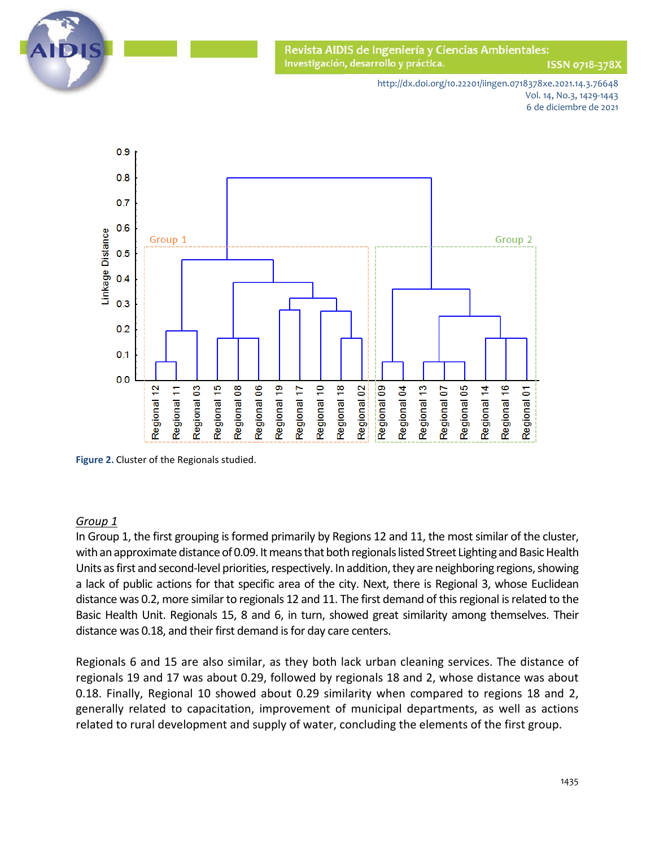

ISSN 0718-378X

http://dx.doi.org/10.22201/iingen.0718378xe.2021.14.3.76648 Vol. 14, No.3, 1429-1443 6 de diciembre de 2021



**Figure 2.** Cluster of the Regionals studied.

### *Group 1*

In Group 1, the first grouping is formed primarily by Regions 12 and 11, the most similar of the cluster, with an approximate distance of 0.09. It means that both regionals listed Street Lighting and Basic Health Units as first and second-level priorities, respectively. In addition, they are neighboring regions, showing a lack of public actions for that specific area of the city. Next, there is Regional 3, whose Euclidean distance was 0.2, more similar to regionals 12 and 11. The first demand of this regional is related to the Basic Health Unit. Regionals 15, 8 and 6, in turn, showed great similarity among themselves. Their distance was 0.18, and their first demand is for day care centers.

Regionals 6 and 15 are also similar, as they both lack urban cleaning services. The distance of regionals 19 and 17 was about 0.29, followed by regionals 18 and 2, whose distance was about 0.18. Finally, Regional 10 showed about 0.29 similarity when compared to regions 18 and 2, generally related to capacitation, improvement of municipal departments, as well as actions related to rural development and supply of water, concluding the elements of the first group.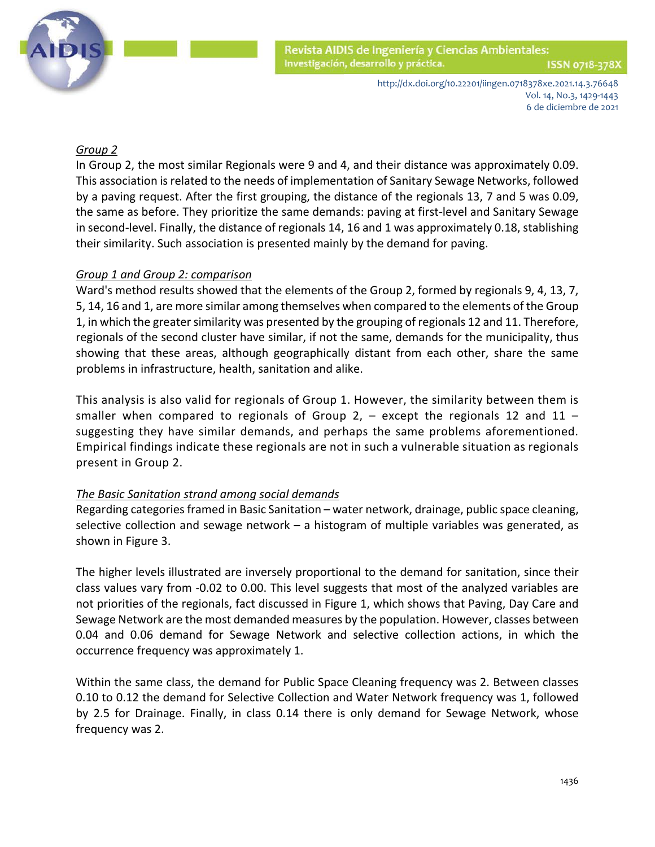

# *Group 2*

In Group 2, the most similar Regionals were 9 and 4, and their distance was approximately 0.09. This association is related to the needs of implementation of Sanitary Sewage Networks, followed by a paving request. After the first grouping, the distance of the regionals 13, 7 and 5 was 0.09, the same as before. They prioritize the same demands: paving at first-level and Sanitary Sewage in second-level. Finally, the distance of regionals 14, 16 and 1 was approximately 0.18, stablishing their similarity. Such association is presented mainly by the demand for paving.

## *Group 1 and Group 2: comparison*

Ward's method results showed that the elements of the Group 2, formed by regionals 9, 4, 13, 7, 5, 14, 16 and 1, are more similar among themselves when compared to the elements of the Group 1, in which the greater similarity was presented by the grouping of regionals 12 and 11. Therefore, regionals of the second cluster have similar, if not the same, demands for the municipality, thus showing that these areas, although geographically distant from each other, share the same problems in infrastructure, health, sanitation and alike.

This analysis is also valid for regionals of Group 1. However, the similarity between them is smaller when compared to regionals of Group 2,  $-$  except the regionals 12 and 11  $$ suggesting they have similar demands, and perhaps the same problems aforementioned. Empirical findings indicate these regionals are not in such a vulnerable situation as regionals present in Group 2.

## *The Basic Sanitation strand among social demands*

Regarding categories framed in Basic Sanitation – water network, drainage, public space cleaning, selective collection and sewage network – a histogram of multiple variables was generated, as shown in Figure 3.

The higher levels illustrated are inversely proportional to the demand for sanitation, since their class values vary from -0.02 to 0.00. This level suggests that most of the analyzed variables are not priorities of the regionals, fact discussed in Figure 1, which shows that Paving, Day Care and Sewage Network are the most demanded measures by the population. However, classes between 0.04 and 0.06 demand for Sewage Network and selective collection actions, in which the occurrence frequency was approximately 1.

Within the same class, the demand for Public Space Cleaning frequency was 2. Between classes 0.10 to 0.12 the demand for Selective Collection and Water Network frequency was 1, followed by 2.5 for Drainage. Finally, in class 0.14 there is only demand for Sewage Network, whose frequency was 2.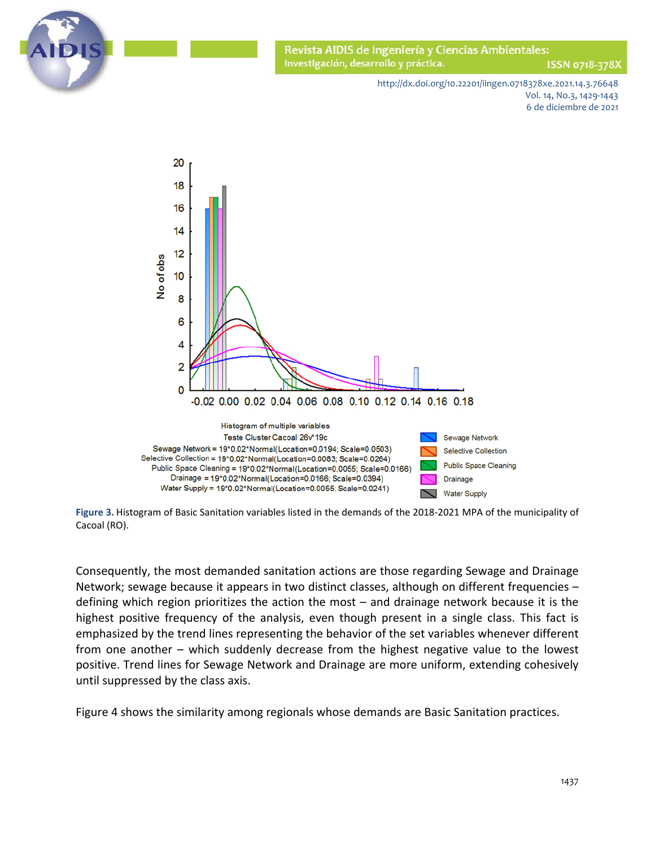

ISSN 0718-378X

http://dx.doi.org/10.22201/iingen.0718378xe.2021.14.3.76648 Vol. 14, No.3, 1429-1443 6 de diciembre de 2021



**Figure 3.** Histogram of Basic Sanitation variables listed in the demands of the 2018-2021 MPA of the municipality of Cacoal (RO).

Consequently, the most demanded sanitation actions are those regarding Sewage and Drainage Network; sewage because it appears in two distinct classes, although on different frequencies – defining which region prioritizes the action the most – and drainage network because it is the highest positive frequency of the analysis, even though present in a single class. This fact is emphasized by the trend lines representing the behavior of the set variables whenever different from one another – which suddenly decrease from the highest negative value to the lowest positive. Trend lines for Sewage Network and Drainage are more uniform, extending cohesively until suppressed by the class axis.

Figure 4 shows the similarity among regionals whose demands are Basic Sanitation practices.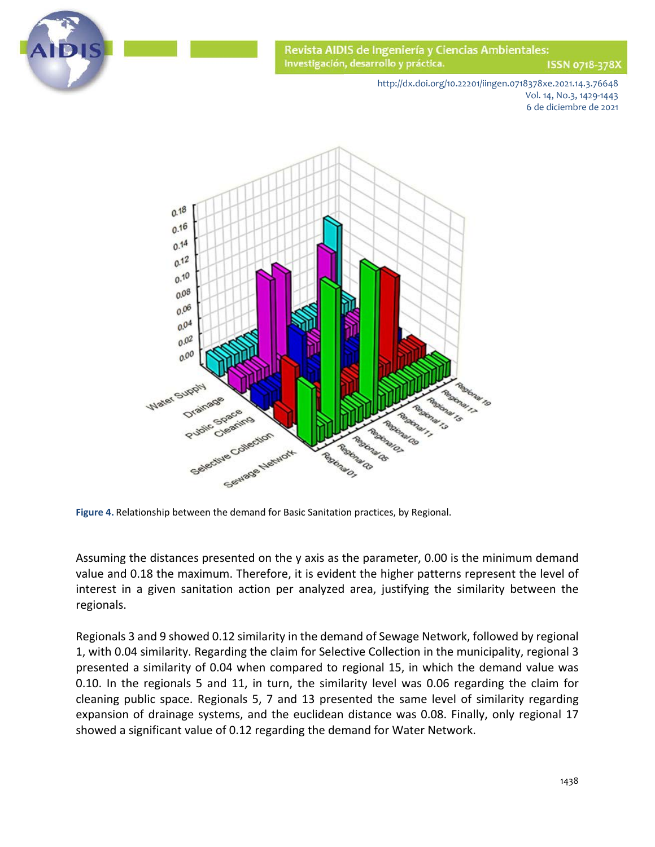

ISSN 0718-378X

http://dx.doi.org/10.22201/iingen.0718378xe.2021.14.3.76648 Vol. 14, No.3, 1429-1443 6 de diciembre de 2021



**Figure 4.** Relationship between the demand for Basic Sanitation practices, by Regional.

Assuming the distances presented on the y axis as the parameter, 0.00 is the minimum demand value and 0.18 the maximum. Therefore, it is evident the higher patterns represent the level of interest in a given sanitation action per analyzed area, justifying the similarity between the regionals.

Regionals 3 and 9 showed 0.12 similarity in the demand of Sewage Network, followed by regional 1, with 0.04 similarity. Regarding the claim for Selective Collection in the municipality, regional 3 presented a similarity of 0.04 when compared to regional 15, in which the demand value was 0.10. In the regionals 5 and 11, in turn, the similarity level was 0.06 regarding the claim for cleaning public space. Regionals 5, 7 and 13 presented the same level of similarity regarding expansion of drainage systems, and the euclidean distance was 0.08. Finally, only regional 17 showed a significant value of 0.12 regarding the demand for Water Network.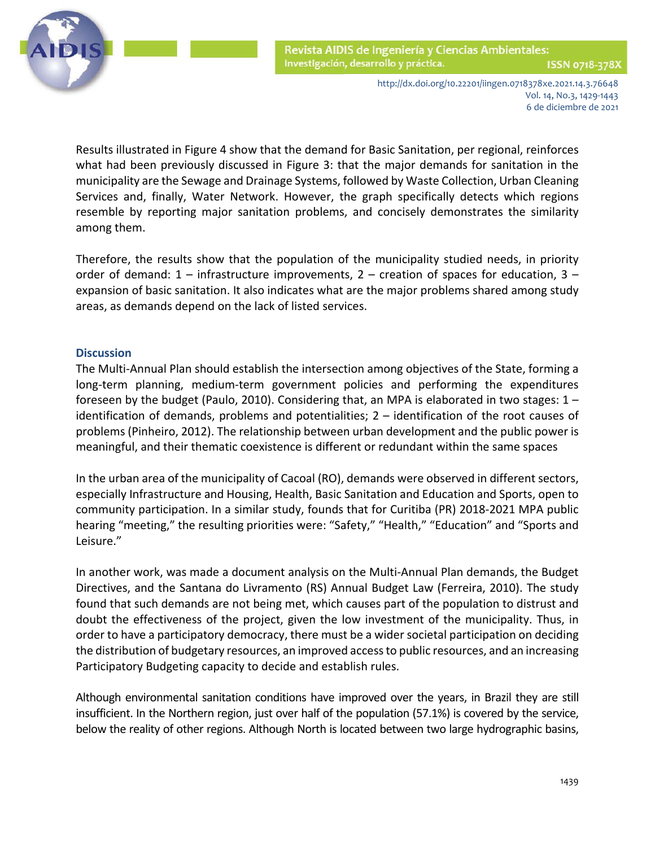

ISSN 0718-378)

http://dx.doi.org/10.22201/iingen.0718378xe.2021.14.3.76648 Vol. 14, No.3, 1429-1443 6 de diciembre de 2021

 Results illustrated in Figure 4 show that the demand for Basic Sanitation, per regional, reinforces what had been previously discussed in Figure 3: that the major demands for sanitation in the municipality are the Sewage and Drainage Systems, followed by Waste Collection, Urban Cleaning Services and, finally, Water Network. However, the graph specifically detects which regions resemble by reporting major sanitation problems, and concisely demonstrates the similarity among them.

Therefore, the results show that the population of the municipality studied needs, in priority order of demand:  $1$  – infrastructure improvements,  $2$  – creation of spaces for education,  $3$  – expansion of basic sanitation. It also indicates what are the major problems shared among study areas, as demands depend on the lack of listed services.

#### **Discussion**

The Multi-Annual Plan should establish the intersection among objectives of the State, forming a long-term planning, medium-term government policies and performing the expenditures foreseen by the budget (Paulo, 2010). Considering that, an MPA is elaborated in two stages:  $1$ identification of demands, problems and potentialities; 2 – identification of the root causes of problems (Pinheiro, 2012). The relationship between urban development and the public power is meaningful, and their thematic coexistence is different or redundant within the same spaces

In the urban area of the municipality of Cacoal (RO), demands were observed in different sectors, especially Infrastructure and Housing, Health, Basic Sanitation and Education and Sports, open to community participation. In a similar study, founds that for Curitiba (PR) 2018-2021 MPA public hearing "meeting," the resulting priorities were: "Safety," "Health," "Education" and "Sports and Leisure."

In another work, was made a document analysis on the Multi-Annual Plan demands, the Budget Directives, and the Santana do Livramento (RS) Annual Budget Law (Ferreira, 2010). The study found that such demands are not being met, which causes part of the population to distrust and doubt the effectiveness of the project, given the low investment of the municipality. Thus, in order to have a participatory democracy, there must be a wider societal participation on deciding the distribution of budgetary resources, an improved access to public resources, and an increasing Participatory Budgeting capacity to decide and establish rules.

Although environmental sanitation conditions have improved over the years, in Brazil they are still insufficient. In the Northern region, just over half of the population (57.1%) is covered by the service, below the reality of other regions. Although North is located between two large hydrographic basins,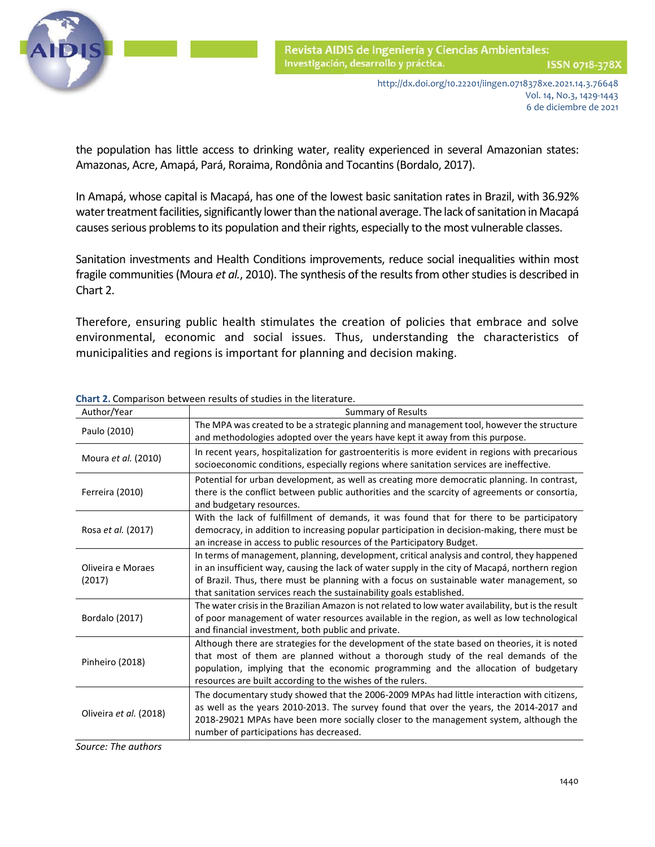

ISSN 0718-378X

http://dx.doi.org/10.22201/iingen.0718378xe.2021.14.3.76648 Vol. 14, No.3, 1429-1443 6 de diciembre de 2021

 the population has little access to drinking water, reality experienced in several Amazonian states: Amazonas, Acre, Amapá, Pará, Roraima, Rondônia and Tocantins (Bordalo, 2017).

In Amapá, whose capital is Macapá, has one of the lowest basic sanitation rates in Brazil, with 36.92% water treatment facilities, significantly lower than the national average. The lack of sanitation in Macapá causes serious problems to its population and their rights, especially to the most vulnerable classes.

Sanitation investments and Health Conditions improvements, reduce social inequalities within most fragile communities (Moura *et al.*, 2010). The synthesis of the results from other studies is described in Chart 2.

Therefore, ensuring public health stimulates the creation of policies that embrace and solve environmental, economic and social issues. Thus, understanding the characteristics of municipalities and regions is important for planning and decision making.

| Author/Year                 | <b>Summary of Results</b>                                                                                                                                                                                                                                                                                                                                          |  |  |
|-----------------------------|--------------------------------------------------------------------------------------------------------------------------------------------------------------------------------------------------------------------------------------------------------------------------------------------------------------------------------------------------------------------|--|--|
| Paulo (2010)                | The MPA was created to be a strategic planning and management tool, however the structure<br>and methodologies adopted over the years have kept it away from this purpose.                                                                                                                                                                                         |  |  |
| Moura et al. (2010)         | In recent years, hospitalization for gastroenteritis is more evident in regions with precarious<br>socioeconomic conditions, especially regions where sanitation services are ineffective.                                                                                                                                                                         |  |  |
| Ferreira (2010)             | Potential for urban development, as well as creating more democratic planning. In contrast,<br>there is the conflict between public authorities and the scarcity of agreements or consortia,<br>and budgetary resources.                                                                                                                                           |  |  |
| Rosa et al. (2017)          | With the lack of fulfillment of demands, it was found that for there to be participatory<br>democracy, in addition to increasing popular participation in decision-making, there must be<br>an increase in access to public resources of the Participatory Budget.                                                                                                 |  |  |
| Oliveira e Moraes<br>(2017) | In terms of management, planning, development, critical analysis and control, they happened<br>in an insufficient way, causing the lack of water supply in the city of Macapá, northern region<br>of Brazil. Thus, there must be planning with a focus on sustainable water management, so<br>that sanitation services reach the sustainability goals established. |  |  |
| Bordalo (2017)              | The water crisis in the Brazilian Amazon is not related to low water availability, but is the result<br>of poor management of water resources available in the region, as well as low technological<br>and financial investment, both public and private.                                                                                                          |  |  |
| Pinheiro (2018)             | Although there are strategies for the development of the state based on theories, it is noted<br>that most of them are planned without a thorough study of the real demands of the<br>population, implying that the economic programming and the allocation of budgetary<br>resources are built according to the wishes of the rulers.                             |  |  |
| Oliveira et al. (2018)      | The documentary study showed that the 2006-2009 MPAs had little interaction with citizens,<br>as well as the years 2010-2013. The survey found that over the years, the 2014-2017 and<br>2018-29021 MPAs have been more socially closer to the management system, although the<br>number of participations has decreased.                                          |  |  |

**Chart 2.** Comparison between results of studies in the literature.

*Source: The authors*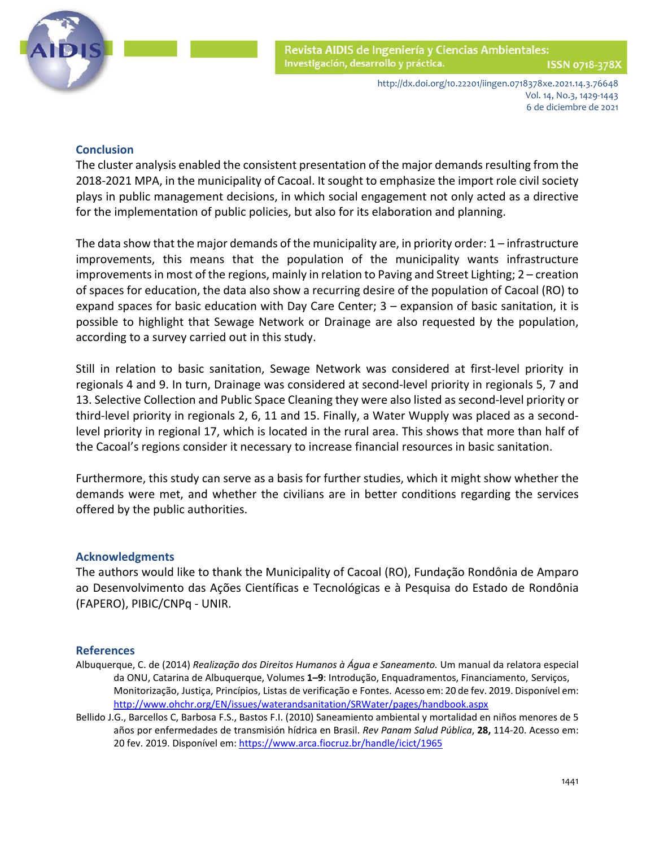

> http://dx.doi.org/10.22201/iingen.0718378xe.2021.14.3.76648 Vol. 14, No.3, 1429-1443 6 de diciembre de 2021

# **Conclusion**

The cluster analysis enabled the consistent presentation of the major demands resulting from the 2018-2021 MPA, in the municipality of Cacoal. It sought to emphasize the import role civil society plays in public management decisions, in which social engagement not only acted as a directive for the implementation of public policies, but also for its elaboration and planning.

The data show that the major demands of the municipality are, in priority order: 1 – infrastructure improvements, this means that the population of the municipality wants infrastructure improvements in most of the regions, mainly in relation to Paving and Street Lighting; 2 – creation of spaces for education, the data also show a recurring desire of the population of Cacoal (RO) to expand spaces for basic education with Day Care Center; 3 – expansion of basic sanitation, it is possible to highlight that Sewage Network or Drainage are also requested by the population, according to a survey carried out in this study.

Still in relation to basic sanitation, Sewage Network was considered at first-level priority in regionals 4 and 9. In turn, Drainage was considered at second-level priority in regionals 5, 7 and 13. Selective Collection and Public Space Cleaning they were also listed as second-level priority or third-level priority in regionals 2, 6, 11 and 15. Finally, a Water Wupply was placed as a secondlevel priority in regional 17, which is located in the rural area. This shows that more than half of the Cacoal's regions consider it necessary to increase financial resources in basic sanitation.

Furthermore, this study can serve as a basis for further studies, which it might show whether the demands were met, and whether the civilians are in better conditions regarding the services offered by the public authorities.

#### **Acknowledgments**

The authors would like to thank the Municipality of Cacoal (RO), Fundação Rondônia de Amparo ao Desenvolvimento das Ações Científicas e Tecnológicas e à Pesquisa do Estado de Rondônia (FAPERO), PIBIC/CNPq - UNIR.

#### **References**

- Albuquerque, C. de (2014) *Realização dos Direitos Humanos à Água e Saneamento.* Um manual da relatora especial da ONU, Catarina de Albuquerque, Volumes **1–9**: Introdução, Enquadramentos, Financiamento, Serviços, Monitorização, Justiça, Princípios, Listas de verificação e Fontes. Acesso em: 20 de fev. 2019. Disponível em: <http://www.ohchr.org/EN/issues/waterandsanitation/SRWater/pages/handbook.aspx>
- Bellido J.G., Barcellos C, Barbosa F.S., Bastos F.I. (2010) Saneamiento ambiental y mortalidad en niños menores de 5 años por enfermedades de transmisión hídrica en Brasil. *Rev Panam Salud Pública*, **28,** 114-20. Acesso em: 20 fev. 2019. Disponível em[: https://www.arca.fiocruz.br/handle/icict/1965](https://www.arca.fiocruz.br/handle/icict/1965)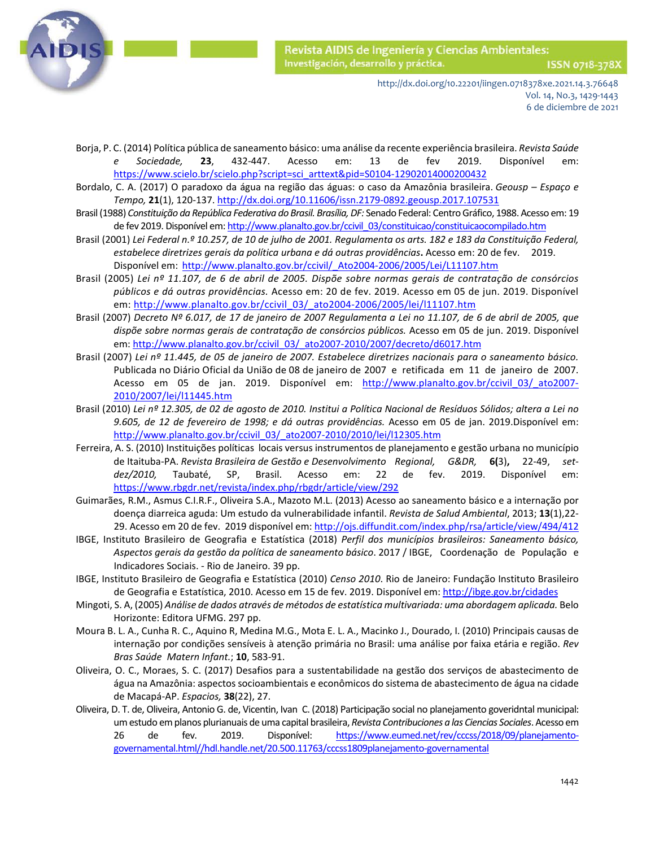

- Borja, P. C. (2014) Política pública de saneamento básico: uma análise da recente experiência brasileira. *Revista Saúde e Sociedade,* **23**, 432-447. Acesso em: 13 de fev 2019. Disponível em: [https://www.scielo.br/scielo.php?script=sci\\_arttext&pid=S0104-12902014000200432](https://www.scielo.br/scielo.php?script=sci_arttext&pid=S0104-12902014000200432)
- Bordalo, C. A. (2017) O paradoxo da água na região das águas: o caso da Amazônia brasileira. *Geousp – Espaço e Tempo,* **21**(1), 120-137. <http://dx.doi.org/10.11606/issn.2179-0892.geousp.2017.107531>
- Brasil (1988) *Constituição da República Federativa do Brasil. Brasília, DF:* Senado Federal: Centro Gráfico, 1988. Acesso em: 19 de fev 2019. Disponível em[: http://www.planalto.gov.br/ccivil\\_03/constituicao/constituicaocompilado.htm](http://www.planalto.gov.br/ccivil_03/constituicao/constituicaocompilado.htm)
- Brasil (2001) *Lei Federal n.º 10.257, de 10 de julho de 2001. Regulamenta os arts. 182 e 183 da Constituição Federal, estabelece diretrizes gerais da política urbana e dá outras providências***.** Acesso em: 20 de fev. 2019. Disponível em: http://www.planalto.gov.br/ccivil/ Ato2004-2006/2005/Lei/L11107.htm
- Brasil (2005) *Lei nº 11.107, de 6 de abril de 2005. Dispõe sobre normas gerais de contratação de consórcios públicos e dá outras providências.* Acesso em: 20 de fev. 2019. Acesso em 05 de jun. 2019. Disponível em: [http://www.planalto.gov.br/ccivil\\_03/\\_ato2004-2006/2005/lei/l11107.htm](http://www.planalto.gov.br/ccivil_03/_ato2004-2006/2005/lei/l11107.htm)
- Brasil (2007) *Decreto Nº 6.017, de 17 de janeiro de 2007 Regulamenta a Lei no 11.107, de 6 de abril de 2005, que dispõe sobre normas gerais de contratação de consórcios públicos.* Acesso em 05 de jun. 2019. Disponível em[: http://www.planalto.gov.br/ccivil\\_03/\\_ato2007-2010/2007/decreto/d6017.htm](http://www.planalto.gov.br/ccivil_03/_ato2007-2010/2007/decreto/d6017.htm)
- Brasil (2007) *Lei nº 11.445, de 05 de janeiro de 2007. Estabelece diretrizes nacionais para o saneamento básico.* Publicada no Diário Oficial da União de 08 de janeiro de 2007 e retificada em 11 de janeiro de 2007. Acesso em 05 de jan. 2019. Disponível em: http://www.planalto.gov.br/ccivil 03/ ato2007-[2010/2007/lei/l11445.htm](http://www.planalto.gov.br/ccivil_03/_ato2007-2010/2007/lei/l11445.htm)
- Brasil (2010) *Lei nº 12.305, de 02 de agosto de 2010. Institui a Política Nacional de Resíduos Sólidos; altera a Lei no 9.605, de 12 de fevereiro de 1998; e dá outras providências.* Acesso em 05 de jan. 2019.Disponível em: [http://www.planalto.gov.br/ccivil\\_03/\\_ato2007-2010/2010/lei/l12305.htm](http://www.planalto.gov.br/ccivil_03/_ato2007-2010/2010/lei/l12305.htm)
- Ferreira, A. S. (2010) Instituições políticas locais versus instrumentos de planejamento e gestão urbana no município de Itaituba-PA. *Revista Brasileira de Gestão e Desenvolvimento Regional, G&DR,* **6(**3)**,** 22-49, *setdez/2010,* Taubaté, SP, Brasil. Acesso em: 22 de fev. 2019. Disponível em: <https://www.rbgdr.net/revista/index.php/rbgdr/article/view/292>
- Guimarães, R.M., Asmus C.I.R.F., Oliveira S.A., Mazoto M.L. (2013) Acesso ao saneamento básico e a internação por doença diarreica aguda: Um estudo da vulnerabilidade infantil. *Revista de Salud Ambiental*, 2013; **13**(1),22 29. Acesso em 20 de fev. 2019 disponível em:<http://ojs.diffundit.com/index.php/rsa/article/view/494/412>
- IBGE, Instituto Brasileiro de Geografia e Estatística (2018) *Perfil dos municípios brasileiros: Saneamento básico, Aspectos gerais da gestão da política de saneamento básico*. 2017 / IBGE, Coordenação de População e Indicadores Sociais. - Rio de Janeiro. 39 pp.
- IBGE, Instituto Brasileiro de Geografia e Estatística (2010) *Censo 2010*. Rio de Janeiro: Fundação Instituto Brasileiro de Geografia e Estatística, 2010. Acesso em 15 de fev. 2019. Disponível em:<http://ibge.gov.br/cidades>
- Mingoti, S. A, (2005) *Análise de dados através de métodos de estatística multivariada: uma abordagem aplicada.* Belo Horizonte: Editora UFMG. 297 pp.
- Moura B. L. A., Cunha R. C., Aquino R, Medina M.G., Mota E. L. A., Macinko J., Dourado, I. (2010) Principais causas de internação por condições sensíveis à atenção primária no Brasil: uma análise por faixa etária e região. *Rev Bras Saúde Matern Infant.*; **10**, 583-91.
- Oliveira, O. C., Moraes, S. C. (2017) Desafios para a sustentabilidade na gestão dos serviços de abastecimento de água na Amazônia: aspectos socioambientais e econômicos do sistema de abastecimento de água na cidade de Macapá-AP. *Espacios,* **38**(22), 27.
- Oliveira, D. T. de, Oliveira, Antonio G. de, Vicentin, Ivan C. (2018) Participação social no planejamento goveridntal municipal: um estudo em planos plurianuais de uma capital brasileira, *Revista Contribuciones a las Ciencias Sociales*. Acesso em 26 de fev. 2019. Disponível: [https://www.eumed.net/rev/cccss/2018/09/planejamento](https://www.eumed.net/rev/cccss/2018/09/planejamento-governamental.html/hdl.handle.net/20.500.11763/cccss1809planejamento-governamental)[governamental.html//hdl.handle.net/20.500.11763/cccss1809planejamento-governamental](https://www.eumed.net/rev/cccss/2018/09/planejamento-governamental.html/hdl.handle.net/20.500.11763/cccss1809planejamento-governamental)